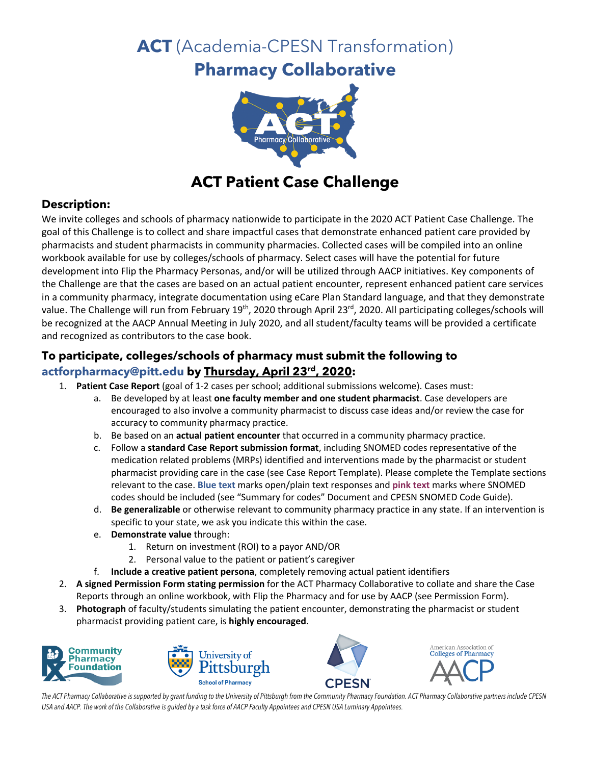# **ACT** (Academia-CPESN Transformation)

# **Pharmacy Collaborative**



## **ACT Patient Case Challenge**

### **Description:**

We invite colleges and schools of pharmacy nationwide to participate in the 2020 ACT Patient Case Challenge. The goal of this Challenge is to collect and share impactful cases that demonstrate enhanced patient care provided by pharmacists and student pharmacists in community pharmacies. Collected cases will be compiled into an online workbook available for use by colleges/schools of pharmacy. Select cases will have the potential for future development into Flip the Pharmacy Personas, and/or will be utilized through AACP initiatives. Key components of the Challenge are that the cases are based on an actual patient encounter, represent enhanced patient care services in a community pharmacy, integrate documentation using eCare Plan Standard language, and that they demonstrate value. The Challenge will run from February 19<sup>th</sup>, 2020 through April 23<sup>rd</sup>, 2020. All participating colleges/schools will be recognized at the AACP Annual Meeting in July 2020, and all student/faculty teams will be provided a certificate and recognized as contributors to the case book.

### **To participate, colleges/schools of pharmacy must submit the following to actforpharmacy@pitt.edu by Thursday, April 23rd, 2020:**

- 1. **Patient Case Report** (goal of 1-2 cases per school; additional submissions welcome). Cases must:
	- a. Be developed by at least **one faculty member and one student pharmacist**. Case developers are encouraged to also involve a community pharmacist to discuss case ideas and/or review the case for accuracy to community pharmacy practice.
	- b. Be based on an **actual patient encounter** that occurred in a community pharmacy practice.
	- c. Follow a **standard Case Report submission format**, including SNOMED codes representative of the medication related problems (MRPs) identified and interventions made by the pharmacist or student pharmacist providing care in the case (see Case Report Template). Please complete the Template sections relevant to the case. **Blue text** marks open/plain text responses and **pink text** marks where SNOMED codes should be included (see "Summary for codes" Document and CPESN SNOMED Code Guide).
	- d. **Be generalizable** or otherwise relevant to community pharmacy practice in any state. If an intervention is specific to your state, we ask you indicate this within the case.
	- e. **Demonstrate value** through:
		- 1. Return on investment (ROI) to a payor AND/OR
		- 2. Personal value to the patient or patient's caregiver
	- f. **Include a creative patient persona**, completely removing actual patient identifiers
- 2. **A signed Permission Form stating permission** for the ACT Pharmacy Collaborative to collate and share the Case Reports through an online workbook, with Flip the Pharmacy and for use by AACP (see Permission Form).
- 3. **Photograph** of faculty/students simulating the patient encounter, demonstrating the pharmacist or student pharmacist providing patient care, is **highly encouraged**.









*The ACT Pharmacy Collaborative is supported by grant funding to the University of Pittsburgh from the Community Pharmacy Foundation. ACT Pharmacy Collaborative partners include CPESN USA and AACP. The work of the Collaborative is guided by a task force of AACP Faculty Appointees and CPESN USA Luminary Appointees.*